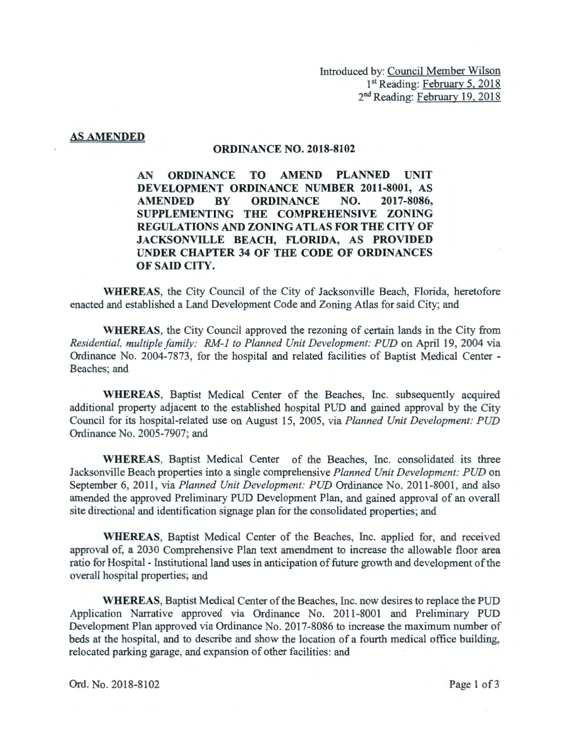## AS AMENDED

## ORDINANCE NO. 2018-8102

AN ORDINANCE TO AMEND PLANNED UNIT DEVELOPMENT ORDINANCE NUMBER 2011-8001, AS AMENDED BY ORDINANCE NO. 2017-8086, SUPPLEMENTING THE COMPREHENSIVE ZONING REGULATIONS AND ZONING ATLAS FOR THE CITY OF JACKSONVILLE BEACH, FLORIDA, AS PROVIDED UNDER CHAPTER 34 OF THE CODE OF ORDINANCES OF SAID CITY.

WHEREAS, the City Council of the City of Jacksonville Beach, Florida, heretofore enacted and established a Land Development Code and Zoning Atlas for said City; and

WHEREAS, the City Council approved the rezoning of certain lands in the City from *Residential, multiple family: RM-I to Planned Unit Development: PUD* on April 19, 2004 via Ordinance No. 2004-7873, for the hospital and related facilities of Baptist Medical Center - Beaches; and

WHEREAS, Baptist Medical Center of the Beaches, Inc. subsequently acquired additional property adjacent to the established hospital PUD and gained approval by the City Council for its hospital-related use on August 15, 2005, via *Planned Unit Development: PUD*  Ordinance No. 2005-7907; and

WHEREAS, Baptist Medical Center of the Beaches, Inc. consolidated its three Jacksonville Beach properties into a single comprehensive *Planned Unit Development: PUD* on September 6, 2011, via *Planned Unit Development: PUD* Ordinance No. 2011 -8001, and also amended the approved Preliminary PUD Development Plan, and gained approval of an overall site directional and identification signage plan for the consolidated properties; and

WHEREAS, Baptist Medical Center of the Beaches, Inc. applied for, and received approval of, a 2030 Comprehensive Plan text amendment to increase the allowable floor area ratio for Hospital - Institutional land uses in anticipation of future growth and development of the overall hospital properties; and

WHEREAS, Baptist Medical Center of the Beaches, Inc. now desires to replace the PUD Application Narrative approved via Ordinance No. 2011 -8001 and Preliminary PUD Development Plan approved via Ordinance No. 2017-8086 to increase the maximum number of beds at the hospital, and to describe and show the location of a fourth medical office building, relocated parking garage, and expansion of other facilities: and

Ord. No. 2018-8102 Page 1 of 3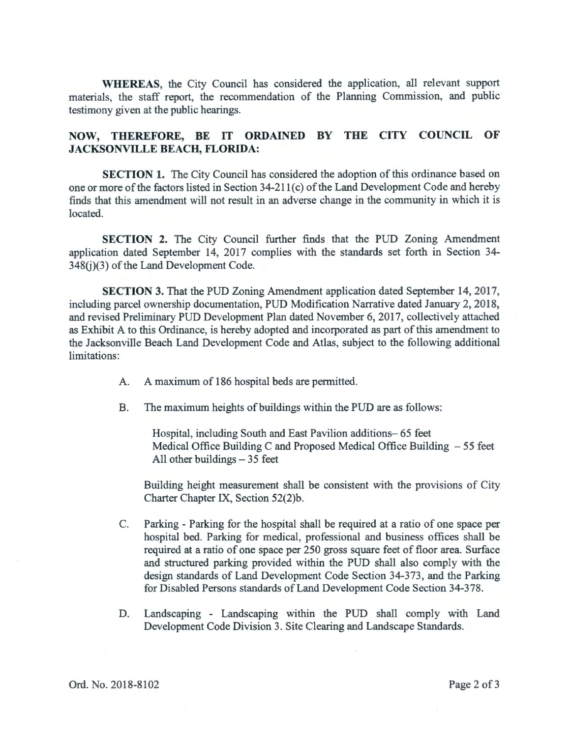**WHEREAS,** the City Council has considered the application, all relevant support materials, the staff report, the recommendation of the Planning Commission, and public testimony given at the public hearings.

## **NOW, THEREFORE, BE IT ORDAINED BY THE CITY COUNCIL OF JACKSONVILLE BEACH, FLORIDA:**

**SECTION 1.** The City Council has considered the adoption of this ordinance based on one or more of the factors listed in Section 34-21 l(c) of the Land Development Code and hereby finds that this amendment will not result in an adverse change in the community in which it is located.

**SECTION 2.** The City Council further finds that the PUD Zoning Amendment application dated September 14, 2017 complies with the standards set forth in Section 34- 348(j)(3) of the Land Development Code.

**SECTION** 3. That the PUD Zoning Amendment application dated September 14, 2017, including parcel ownership documentation, PUD Modification Narrative dated January 2, 2018, and revised Preliminary PUD Development Plan dated November 6, 2017, collectively attached as Exhibit A to this Ordinance, is hereby adopted and incorporated as part of this amendment to the Jacksonville Beach Land Development Code and Atlas, subject to the following additional limitations:

- A. A maximum of 186 hospital beds are permitted.
- B. The maximum heights of buildings within the PUD are as follows:

Hospital, including South and East Pavilion additions- 65 feet Medical Office Building C and Proposed Medical Office Building  $-55$  feet All other buildings  $-35$  feet

Building height measurement shall be consistent with the provisions of City Charter Chapter IX, Section 52(2)b.

- C. Parking Parking for the hospital shall be required at a ratio of one space per hospital bed. Parking for medical, professional and business offices shall be required at a ratio of one space per 250 gross square feet of floor area. Surface and structured parking provided within the PUD shall also comply with the design standards of Land Development Code Section 34-373, and the Parking for Disabled Persons standards of Land Development Code Section 34-378.
- D. Landscaping Landscaping within the PUD shall comply with Land Development Code Division 3. Site Clearing and Landscape Standards.